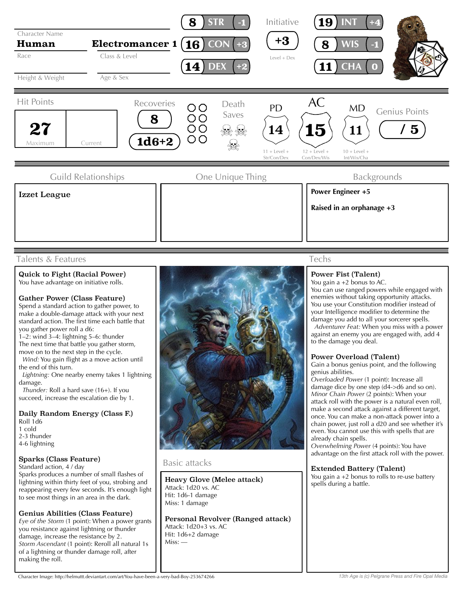

## Talents & Features

# Quick to Fight (Racial Power)

You have advantage on initiative rolls.

### Gather Power (Class Feature)

Spend a standard action to gather power, to make a double-damage attack with your next standard action. The first time each battle that you gather power roll a d6:

 $1-2$ : wind  $3-4$ : lightning 5-6: thunder The next time that battle you gather storm, move on to the next step in the cycle.

 *Wind:* You gain flight as a move action until the end of this turn.

 *Lightning:* One nearby enemy takes 1 lightning damage.

 *Thunder:* Roll a hard save (16+). If you succeed, increase the escalation die by 1.

Daily Random Energy (Class F.) Roll 1d6

1 cold 2-3 thunder 4-6 lightning

### Sparks (Class Feature)

Standard action, 4 / day

Sparks produces a number of small flashes of lightning within thirty feet of you, strobing and reappearing every few seconds. It's enough light to see most things in an area in the dark.

### Genius Abilities (Class Feature)

*Eye of the Storm* (1 point): When a power grants you resistance against lightning or thunder damage, increase the resistance by 2. *Storm Ascendant* (1 point): Reroll all natural 1s of a lightning or thunder damage roll, after making the roll.



## Basic attacks

Heavy Glove (Melee attack) Attack: 1d20 vs. AC Hit: 1d6-1 damage Miss: 1 damage

Personal Revolver (Ranged attack) Attack: 1d20+3 vs. AC Hit: 1d6+2 damage Miss: —

## Techs

### Power Fist (Talent)

You gain a +2 bonus to AC.

You can use ranged powers while engaged with enemies without taking opportunity attacks. You use your Constitution modifier instead of your Intelligence modifier to determine the damage you add to all your sorcerer spells.

 *Adventurer Feat:* When you miss with a power against an enemy you are engaged with, add 4 to the damage you deal.

### Power Overload (Talent)

Gain a bonus genius point, and the following genius abilities.

*Overloaded Power* (1 point): Increase all damage dice by one step (d4->d6 and so on). *Minor Chain Power* (2 points): When your attack roll with the power is a natural even roll, make a second attack against a different target, once. You can make a non-attack power into a chain power, just roll a d20 and see whether it's even. You cannot use this with spells that are already chain spells.

*Overwhelming Power* (4 points): You have advantage on the first attack roll with the power.

### Extended Battery (Talent)

You gain a +2 bonus to rolls to re-use battery spells during a battle.

Character Image: http://helmuttt.deviantart.com/art/You-have-been-a-very-bad-Boy-253674266

*13th Age is (c) Pelgrane Press and Fire Opal Media*